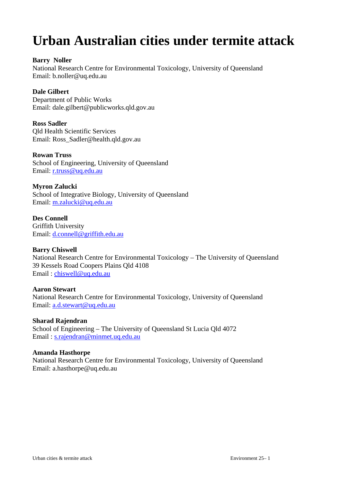# **Urban Australian cities under termite attack**

## **Barry Noller**

National Research Centre for Environmental Toxicology, University of Queensland Email: b.noller@uq.edu.au

# **Dale Gilbert**

Department of Public Works Email: dale.gilbert@publicworks.qld.gov.au

**Ross Sadler** Qld Health Scientific Services Email: Ross\_Sadler@health.qld.gov.au

#### **Rowan Truss**

School of Engineering, University of Queensland Email: r.truss@uq.edu.au

#### **Myron Zalucki**

School of Integrative Biology, University of Queensland Email: m.zalucki@uq.edu.au

**Des Connell** Griffith University Email: d.connell@griffith.edu.au

#### **Barry Chiswell**

National Research Centre for Environmental Toxicology – The University of Queensland 39 Kessels Road Coopers Plains Qld 4108 Email : chiswell@uq.edu.au

#### **Aaron Stewart**

National Research Centre for Environmental Toxicology, University of Queensland Email: a.d.stewart@uq.edu.au

**Sharad Rajendran** School of Engineering – The University of Queensland St Lucia Qld 4072 Email : s.rajendran@minmet.uq.edu.au

#### **Amanda Hasthorpe**

National Research Centre for Environmental Toxicology, University of Queensland Email: a.hasthorpe@uq.edu.au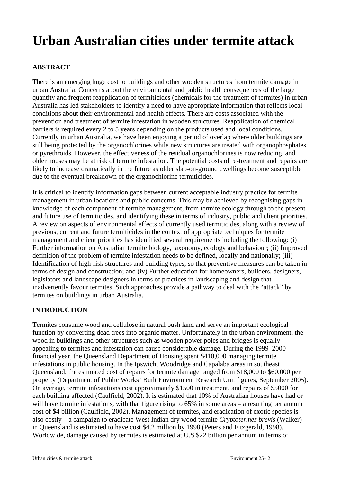# **Urban Australian cities under termite attack**

# **ABSTRACT**

There is an emerging huge cost to buildings and other wooden structures from termite damage in urban Australia. Concerns about the environmental and public health consequences of the large quantity and frequent reapplication of termiticides (chemicals for the treatment of termites) in urban Australia has led stakeholders to identify a need to have appropriate information that reflects local conditions about their environmental and health effects. There are costs associated with the prevention and treatment of termite infestation in wooden structures. Reapplication of chemical barriers is required every 2 to 5 years depending on the products used and local conditions. Currently in urban Australia, we have been enjoying a period of overlap where older buildings are still being protected by the organochlorines while new structures are treated with organophosphates or pyrethroids. However, the effectiveness of the residual organochlorines is now reducing, and older houses may be at risk of termite infestation. The potential costs of re-treatment and repairs are likely to increase dramatically in the future as older slab-on-ground dwellings become susceptible due to the eventual breakdown of the organochlorine termiticides.

It is critical to identify information gaps between current acceptable industry practice for termite management in urban locations and public concerns. This may be achieved by recognising gaps in knowledge of each component of termite management, from termite ecology through to the present and future use of termiticides, and identifying these in terms of industry, public and client priorities. A review on aspects of environmental effects of currently used termiticides, along with a review of previous, current and future termiticides in the context of appropriate techniques for termite management and client priorities has identified several requirements including the following: (i) Further information on Australian termite biology, taxonomy, ecology and behaviour; (ii) Improved definition of the problem of termite infestation needs to be defined, locally and nationally; (iii) Identification of high-risk structures and building types, so that preventive measures can be taken in terms of design and construction; and (iv) Further education for homeowners, builders, designers, legislators and landscape designers in terms of practices in landscaping and design that inadvertently favour termites. Such approaches provide a pathway to deal with the "attack" by termites on buildings in urban Australia.

# **INTRODUCTION**

Termites consume wood and cellulose in natural bush land and serve an important ecological function by converting dead trees into organic matter. Unfortunately in the urban environment, the wood in buildings and other structures such as wooden power poles and bridges is equally appealing to termites and infestation can cause considerable damage. During the 1999–2000 financial year, the Queensland Department of Housing spent \$410,000 managing termite infestations in public housing. In the Ipswich, Woodridge and Capalaba areas in southeast Queensland, the estimated cost of repairs for termite damage ranged from \$18,000 to \$60,000 per property (Department of Public Works' Built Environment Research Unit figures, September 2005). On average, termite infestations cost approximately \$1500 in treatment, and repairs of \$5000 for each building affected (Caulfield, 2002). It is estimated that 10% of Australian houses have had or will have termite infestations, with that figure rising to 65% in some areas – a resulting per annum cost of \$4 billion (Caulfield, 2002). Management of termites, and eradication of exotic species is also costly – a campaign to eradicate West Indian dry wood termite *Cryptotermes brevis* (Walker) in Queensland is estimated to have cost \$4.2 million by 1998 (Peters and Fitzgerald, 1998). Worldwide, damage caused by termites is estimated at U.S \$22 billion per annum in terms of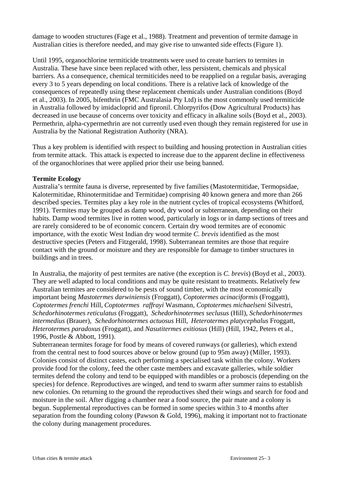damage to wooden structures (Fage et al., 1988). Treatment and prevention of termite damage in Australian cities is therefore needed, and may give rise to unwanted side effects (Figure 1).

Until 1995, organochlorine termiticide treatments were used to create barriers to termites in Australia. These have since been replaced with other, less persistent, chemicals and physical barriers. As a consequence, chemical termiticides need to be reapplied on a regular basis, averaging every 3 to 5 years depending on local conditions. There is a relative lack of knowledge of the consequences of repeatedly using these replacement chemicals under Australian conditions (Boyd et al., 2003). In 2005, bifenthrin (FMC Australasia Pty Ltd) is the most commonly used termiticide in Australia followed by imidacloprid and fipronil. Chlorpyrifos (Dow Agricultural Products) has decreased in use because of concerns over toxicity and efficacy in alkaline soils (Boyd et al., 2003). Permethrin, alpha-cypermethrin are not currently used even though they remain registered for use in Australia by the National Registration Authority (NRA).

Thus a key problem is identified with respect to building and housing protection in Australian cities from termite attack. This attack is expected to increase due to the apparent decline in effectiveness of the organochlorines that were applied prior their use being banned.

## **Termite Ecology**

Australia's termite fauna is diverse, represented by five families (Mastotermitidae, Termopsidae, Kalotermitidae, Rhinotermitidae and Termitidae) comprising 40 known genera and more than 266 described species. Termites play a key role in the nutrient cycles of tropical ecosystems (Whitford, 1991). Termites may be grouped as damp wood, dry wood or subterranean, depending on their habits. Damp wood termites live in rotten wood, particularly in logs or in damp sections of trees and are rarely considered to be of economic concern. Certain dry wood termites are of economic importance, with the exotic West Indian dry wood termite *C. brevis* identified as the most destructive species (Peters and Fitzgerald, 1998). Subterranean termites are those that require contact with the ground or moisture and they are responsible for damage to timber structures in buildings and in trees.

In Australia, the majority of pest termites are native (the exception is *C. brevis*) (Boyd et al., 2003). They are well adapted to local conditions and may be quite resistant to treatments. Relatively few Australian termites are considered to be pests of sound timber, with the most economically important being *Mastotermes darwiniensis* (Froggatt)*, Coptotermes acinaciformis* (Froggatt)*, Coptotermes frenchi* Hill, *Coptotermes raffrayi* Wasmann*, Coptotermes michaelseni* Silvestri, *Schedorhinotermes reticulatus* (Froggatt), *Schedorhinotermes seclusus* (Hill), *Schedorhinotermes intermedius* (Brauer)*, Schedorhinotermes actuosus* Hill, *Heterotermes platycephalus* Froggatt*, Heterotermes paradoxus* (Froggatt), and *Nasutitermes exitiosus* (Hill) (Hill, 1942, Peters et al., 1996, Postle & Abbott, 1991).

Subterranean termites forage for food by means of covered runways (or galleries), which extend from the central nest to food sources above or below ground (up to 95m away) (Miller, 1993). Colonies consist of distinct castes, each performing a specialised task within the colony. Workers provide food for the colony, feed the other caste members and excavate galleries, while soldier termites defend the colony and tend to be equipped with mandibles or a proboscis (depending on the species) for defence. Reproductives are winged, and tend to swarm after summer rains to establish new colonies. On returning to the ground the reproductives shed their wings and search for food and moisture in the soil. After digging a chamber near a food source, the pair mate and a colony is begun. Supplemental reproductives can be formed in some species within 3 to 4 months after separation from the founding colony (Pawson & Gold, 1996), making it important not to fractionate the colony during management procedures.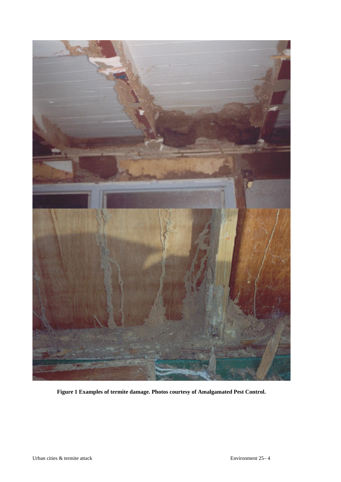

**Figure 1 Examples of termite damage. Photos courtesy of Amalgamated Pest Control.**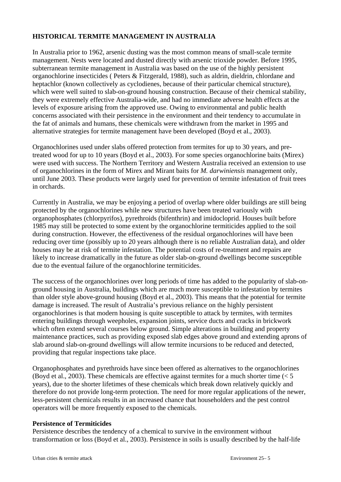# **HISTORICAL TERMITE MANAGEMENT IN AUSTRALIA**

In Australia prior to 1962, arsenic dusting was the most common means of small-scale termite management. Nests were located and dusted directly with arsenic trioxide powder. Before 1995, subterranean termite management in Australia was based on the use of the highly persistent organochlorine insecticides ( Peters & Fitzgerald, 1988), such as aldrin, dieldrin, chlordane and heptachlor (known collectively as cyclodienes, because of their particular chemical structure), which were well suited to slab-on-ground housing construction. Because of their chemical stability, they were extremely effective Australia-wide, and had no immediate adverse health effects at the levels of exposure arising from the approved use. Owing to environmental and public health concerns associated with their persistence in the environment and their tendency to accumulate in the fat of animals and humans, these chemicals were withdrawn from the market in 1995 and alternative strategies for termite management have been developed (Boyd et al., 2003).

Organochlorines used under slabs offered protection from termites for up to 30 years, and pretreated wood for up to 10 years (Boyd et al., 2003). For some species organochlorine baits (Mirex) were used with success. The Northern Territory and Western Australia received an extension to use of organochlorines in the form of Mirex and Mirant baits for *M. darwiniensis* management only, until June 2003. These products were largely used for prevention of termite infestation of fruit trees in orchards.

Currently in Australia, we may be enjoying a period of overlap where older buildings are still being protected by the organochlorines while new structures have been treated variously with organophosphates (chlorpyrifos), pyrethroids (bifenthrin) and imidocloprid. Houses built before 1985 may still be protected to some extent by the organochlorine termiticides applied to the soil during construction. However, the effectiveness of the residual organochlorines will have been reducing over time (possibly up to 20 years although there is no reliable Australian data), and older houses may be at risk of termite infestation. The potential costs of re-treatment and repairs are likely to increase dramatically in the future as older slab-on-ground dwellings become susceptible due to the eventual failure of the organochlorine termiticides.

The success of the organochlorines over long periods of time has added to the popularity of slab-onground housing in Australia, buildings which are much more susceptible to infestation by termites than older style above-ground housing (Boyd et al., 2003). This means that the potential for termite damage is increased. The result of Australia's previous reliance on the highly persistent organochlorines is that modern housing is quite susceptible to attack by termites, with termites entering buildings through weepholes, expansion joints, service ducts and cracks in brickwork which often extend several courses below ground. Simple alterations in building and property maintenance practices, such as providing exposed slab edges above ground and extending aprons of slab around slab-on-ground dwellings will allow termite incursions to be reduced and detected, providing that regular inspections take place.

Organophosphates and pyrethroids have since been offered as alternatives to the organochlorines (Boyd et al., 2003). These chemicals are effective against termites for a much shorter time (< 5 years), due to the shorter lifetimes of these chemicals which break down relatively quickly and therefore do not provide long-term protection. The need for more regular applications of the newer, less-persistent chemicals results in an increased chance that householders and the pest control operators will be more frequently exposed to the chemicals.

#### **Persistence of Termiticides**

Persistence describes the tendency of a chemical to survive in the environment without transformation or loss (Boyd et al., 2003). Persistence in soils is usually described by the half-life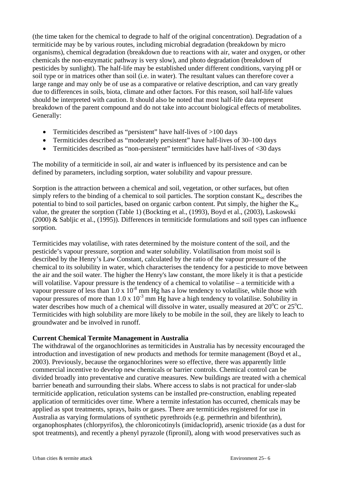(the time taken for the chemical to degrade to half of the original concentration). Degradation of a termiticide may be by various routes, including microbial degradation (breakdown by micro organisms), chemical degradation (breakdown due to reactions with air, water and oxygen, or other chemicals the non-enzymatic pathway is very slow), and photo degradation (breakdown of pesticides by sunlight). The half-life may be established under different conditions, varying pH or soil type or in matrices other than soil (i.e. in water). The resultant values can therefore cover a large range and may only be of use as a comparative or relative description, and can vary greatly due to differences in soils, biota, climate and other factors. For this reason, soil half-life values should be interpreted with caution. It should also be noted that most half-life data represent breakdown of the parent compound and do not take into account biological effects of metabolites. Generally:

- Termiticides described as "persistent" have half-lives of  $>100$  days
- Termiticides described as "moderately persistent" have half-lives of 30–100 days
- Termiticides described as "non-persistent" termiticides have half-lives of <30 days

The mobility of a termiticide in soil, air and water is influenced by its persistence and can be defined by parameters, including sorption, water solubility and vapour pressure.

Sorption is the attraction between a chemical and soil, vegetation, or other surfaces, but often simply refers to the binding of a chemical to soil particles. The sorption constant  $K_{\text{oc}}$  describes the potential to bind to soil particles, based on organic carbon content. Put simply, the higher the  $K_{oc}$ value, the greater the sorption (Table 1) (Bockting et al., (1993), Boyd et al., (2003), Laskowski (2000) & Sabljic et al., (1995)). Differences in termiticide formulations and soil types can influence sorption.

Termiticides may volatilise, with rates determined by the moisture content of the soil, and the pesticide's vapour pressure, sorption and water solubility. Volatilisation from moist soil is described by the Henry's Law Constant, calculated by the ratio of the vapour pressure of the chemical to its solubility in water, which characterises the tendency for a pesticide to move between the air and the soil water. The higher the Henry's law constant, the more likely it is that a pesticide will volatilise. Vapour pressure is the tendency of a chemical to volatilise – a termiticide with a vapour pressure of less than  $1.0 \times 10^{-8}$  mm Hg has a low tendency to volatilise, while those with vapour pressures of more than  $1.0 \times 10^{-3}$  mm Hg have a high tendency to volatilise. Solubility in water describes how much of a chemical will dissolve in water, usually measured at  $20^{\circ}$ C or  $25^{\circ}$ C. Termiticides with high solubility are more likely to be mobile in the soil, they are likely to leach to groundwater and be involved in runoff.

#### **Current Chemical Termite Management in Australia**

The withdrawal of the organochlorines as termiticides in Australia has by necessity encouraged the introduction and investigation of new products and methods for termite management (Boyd et al., 2003). Previously, because the organochlorines were so effective, there was apparently little commercial incentive to develop new chemicals or barrier controls. Chemical control can be divided broadly into preventative and curative measures. New buildings are treated with a chemical barrier beneath and surrounding their slabs. Where access to slabs is not practical for under-slab termiticide application, reticulation systems can be installed pre-construction, enabling repeated application of termiticides over time. Where a termite infestation has occurred, chemicals may be applied as spot treatments, sprays, baits or gases. There are termiticides registered for use in Australia as varying formulations of synthetic pyrethroids (e.g. permethrin and bifenthrin), organophosphates (chlorpyrifos), the chloronicotinyls (imidacloprid), arsenic trioxide (as a dust for spot treatments), and recently a phenyl pyrazole (fipronil), along with wood preservatives such as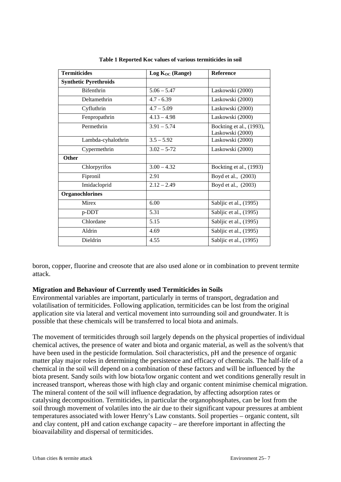| <b>Termiticides</b>          | Log K <sub>OC</sub> (Range) | <b>Reference</b>                             |
|------------------------------|-----------------------------|----------------------------------------------|
| <b>Synthetic Pyrethroids</b> |                             |                                              |
| Bifenthrin                   | $5.06 - 5.47$               | Laskowski (2000)                             |
| Deltamethrin                 | $4.7 - 6.39$                | Laskowski (2000)                             |
| Cyfluthrin                   | $4.7 - 5.09$                | Laskowski (2000)                             |
| Fenpropathrin                | $4.13 - 4.98$               | Laskowski (2000)                             |
| Permethrin                   | $3.91 - 5.74$               | Bockting et al., (1993),<br>Laskowski (2000) |
| Lambda-cyhalothrin           | $3.5 - 5.92$                | Laskowski (2000)                             |
| Cypermethrin                 | $3.02 - 5-72$               | Laskowski (2000)                             |
| <b>Other</b>                 |                             |                                              |
| Chlorpyrifos                 | $3.00 - 4.32$               | Bockting et al., (1993)                      |
| Fipronil                     | 2.91                        | Boyd et al., (2003)                          |
| Imidacloprid                 | $2.12 - 2.49$               | Boyd et al., (2003)                          |
| <b>Organochlorines</b>       |                             |                                              |
| <b>Mirex</b>                 | 6.00                        | Sabljic et al., (1995)                       |
| p-DDT                        | 5.31                        | Sabljic et al., (1995)                       |
| Chlordane                    | 5.15                        | Sabljic et al., (1995)                       |
| Aldrin                       | 4.69                        | Sabljic et al., (1995)                       |
| Dieldrin                     | 4.55                        | Sabljic et al., (1995)                       |

**Table 1 Reported Koc values of various termiticides in soil** 

boron, copper, fluorine and creosote that are also used alone or in combination to prevent termite attack.

#### **Migration and Behaviour of Currently used Termiticides in Soils**

Environmental variables are important, particularly in terms of transport, degradation and volatilisation of termiticides. Following application, termiticides can be lost from the original application site via lateral and vertical movement into surrounding soil and groundwater. It is possible that these chemicals will be transferred to local biota and animals.

The movement of termiticides through soil largely depends on the physical properties of individual chemical actives, the presence of water and biota and organic material, as well as the solvent/s that have been used in the pesticide formulation. Soil characteristics, pH and the presence of organic matter play major roles in determining the persistence and efficacy of chemicals. The half-life of a chemical in the soil will depend on a combination of these factors and will be influenced by the biota present. Sandy soils with low biota/low organic content and wet conditions generally result in increased transport, whereas those with high clay and organic content minimise chemical migration. The mineral content of the soil will influence degradation, by affecting adsorption rates or catalysing decomposition. Termiticides, in particular the organophosphates, can be lost from the soil through movement of volatiles into the air due to their significant vapour pressures at ambient temperatures associated with lower Henry's Law constants. Soil properties – organic content, silt and clay content, pH and cation exchange capacity – are therefore important in affecting the bioavailability and dispersal of termiticides.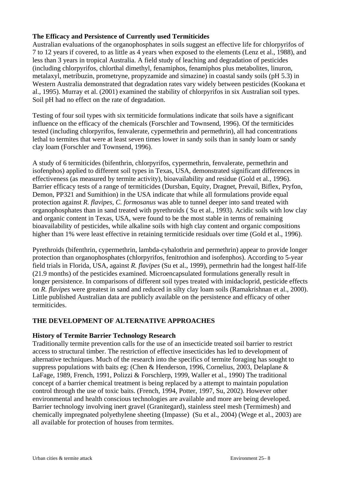# **The Efficacy and Persistence of Currently used Termiticides**

Australian evaluations of the organophosphates in soils suggest an effective life for chlorpyrifos of 7 to 12 years if covered, to as little as 4 years when exposed to the elements (Lenz et al., 1988), and less than 3 years in tropical Australia. A field study of leaching and degradation of pesticides (including chlorpyrifos, chlorthal dimethyl, fenamiphos, fenamiphos plus metabolites, linuron, metalaxyl, metribuzin, prometryne, propyzamide and simazine) in coastal sandy soils (pH 5.3) in Western Australia demonstrated that degradation rates vary widely between pesticides (Kookana et al., 1995). Murray et al. (2001) examined the stability of chlorpyrifos in six Australian soil types. Soil pH had no effect on the rate of degradation.

Testing of four soil types with six termiticide formulations indicate that soils have a significant influence on the efficacy of the chemicals (Forschler and Townsend, 1996). Of the termiticides tested (including chlorpyrifos, fenvalerate, cypermethrin and permethrin), all had concentrations lethal to termites that were at least seven times lower in sandy soils than in sandy loam or sandy clay loam (Forschler and Townsend, 1996).

A study of 6 termiticides (bifenthrin, chlorpyrifos, cypermethrin, fenvalerate, permethrin and isofenphos) applied to different soil types in Texas, USA, demonstrated significant differences in effectiveness (as measured by termite activity), bioavailability and residue (Gold et al., 1996). Barrier efficacy tests of a range of termiticides (Dursban, Equity, Dragnet, Prevail, Biflex, Pryfon, Demon, PP321 and Sumithion) in the USA indicate that while all formulations provide equal protection against *R. flavipes*, *C. formosanus* was able to tunnel deeper into sand treated with organophosphates than in sand treated with pyrethroids ( Su et al., 1993). Acidic soils with low clay and organic content in Texas, USA, were found to be the most stable in terms of remaining bioavailability of pesticides, while alkaline soils with high clay content and organic compositions higher than 1% were least effective in retaining termiticide residuals over time (Gold et al., 1996).

Pyrethroids (bifenthrin, cypermethrin, lambda-cyhalothrin and permethrin) appear to provide longer protection than organophosphates (chlorpyrifos, fenitrothion and isofenphos). According to 5-year field trials in Florida, USA, against *R. flavipes* (Su et al., 1999), permethrin had the longest half-life (21.9 months) of the pesticides examined. Microencapsulated formulations generally result in longer persistence. In comparisons of different soil types treated with imidacloprid, pesticide effects on *R. flavipes* were greatest in sand and reduced in silty clay loam soils (Ramakrishnan et al., 2000). Little published Australian data are publicly available on the persistence and efficacy of other termiticides.

# **THE DEVELOPMENT OF ALTERNATIVE APPROACHES**

#### **History of Termite Barrier Technology Research**

Traditionally termite prevention calls for the use of an insecticide treated soil barrier to restrict access to structural timber. The restriction of effective insecticides has led to development of alternative techniques. Much of the research into the specifics of termite foraging has sought to suppress populations with baits eg: (Chen & Henderson, 1996, Cornelius, 2003, Delaplane & LaFage, 1989, French, 1991, Polizzi & Forschlerp, 1999, Waller et al., 1990) The traditional concept of a barrier chemical treatment is being replaced by a attempt to maintain population control through the use of toxic baits. (French, 1994, Potter, 1997, Su, 2002). However other environmental and health conscious technologies are available and more are being developed. Barrier technology involving inert gravel (Granitegard), stainless steel mesh (Termimesh) and chemically impregnated polyethylene sheeting (Impasse) (Su et al., 2004) (Wege et al., 2003) are all available for protection of houses from termites.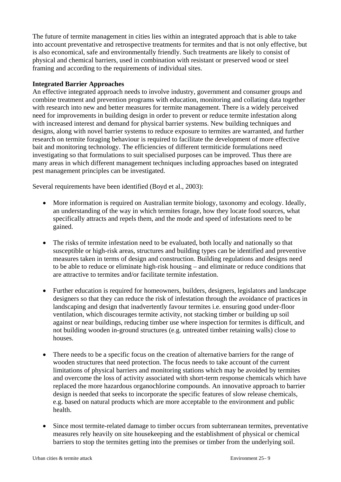The future of termite management in cities lies within an integrated approach that is able to take into account preventative and retrospective treatments for termites and that is not only effective, but is also economical, safe and environmentally friendly. Such treatments are likely to consist of physical and chemical barriers, used in combination with resistant or preserved wood or steel framing and according to the requirements of individual sites.

## **Integrated Barrier Approaches**

An effective integrated approach needs to involve industry, government and consumer groups and combine treatment and prevention programs with education, monitoring and collating data together with research into new and better measures for termite management. There is a widely perceived need for improvements in building design in order to prevent or reduce termite infestation along with increased interest and demand for physical barrier systems. New building techniques and designs, along with novel barrier systems to reduce exposure to termites are warranted, and further research on termite foraging behaviour is required to facilitate the development of more effective bait and monitoring technology. The efficiencies of different termiticide formulations need investigating so that formulations to suit specialised purposes can be improved. Thus there are many areas in which different management techniques including approaches based on integrated pest management principles can be investigated.

Several requirements have been identified (Boyd et al., 2003):

- More information is required on Australian termite biology, taxonomy and ecology. Ideally, an understanding of the way in which termites forage, how they locate food sources, what specifically attracts and repels them, and the mode and speed of infestations need to be gained.
- The risks of termite infestation need to be evaluated, both locally and nationally so that susceptible or high-risk areas, structures and building types can be identified and preventive measures taken in terms of design and construction. Building regulations and designs need to be able to reduce or eliminate high-risk housing – and eliminate or reduce conditions that are attractive to termites and/or facilitate termite infestation.
- Further education is required for homeowners, builders, designers, legislators and landscape designers so that they can reduce the risk of infestation through the avoidance of practices in landscaping and design that inadvertently favour termites i.e. ensuring good under-floor ventilation, which discourages termite activity, not stacking timber or building up soil against or near buildings, reducing timber use where inspection for termites is difficult, and not building wooden in-ground structures (e.g. untreated timber retaining walls) close to houses.
- There needs to be a specific focus on the creation of alternative barriers for the range of wooden structures that need protection. The focus needs to take account of the current limitations of physical barriers and monitoring stations which may be avoided by termites and overcome the loss of activity associated with short-term response chemicals which have replaced the more hazardous organochlorine compounds. An innovative approach to barrier design is needed that seeks to incorporate the specific features of slow release chemicals, e.g. based on natural products which are more acceptable to the environment and public health.
- Since most termite-related damage to timber occurs from subterranean termites, preventative measures rely heavily on site housekeeping and the establishment of physical or chemical barriers to stop the termites getting into the premises or timber from the underlying soil.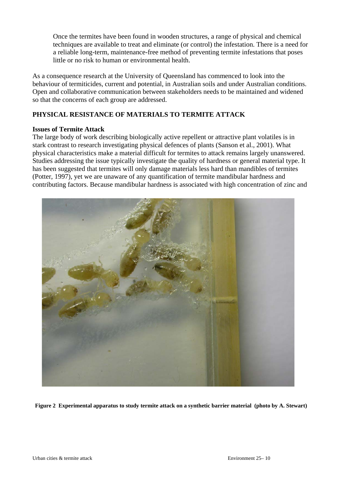Once the termites have been found in wooden structures, a range of physical and chemical techniques are available to treat and eliminate (or control) the infestation. There is a need for a reliable long-term, maintenance-free method of preventing termite infestations that poses little or no risk to human or environmental health.

As a consequence research at the University of Queensland has commenced to look into the behaviour of termiticides, current and potential, in Australian soils and under Australian conditions. Open and collaborative communication between stakeholders needs to be maintained and widened so that the concerns of each group are addressed.

# **PHYSICAL RESISTANCE OF MATERIALS TO TERMITE ATTACK**

## **Issues of Termite Attack**

The large body of work describing biologically active repellent or attractive plant volatiles is in stark contrast to research investigating physical defences of plants (Sanson et al., 2001). What physical characteristics make a material difficult for termites to attack remains largely unanswered. Studies addressing the issue typically investigate the quality of hardness or general material type. It has been suggested that termites will only damage materials less hard than mandibles of termites (Potter, 1997), yet we are unaware of any quantification of termite mandibular hardness and contributing factors. Because mandibular hardness is associated with high concentration of zinc and



 **Figure 2 Experimental apparatus to study termite attack on a synthetic barrier material (photo by A. Stewart)**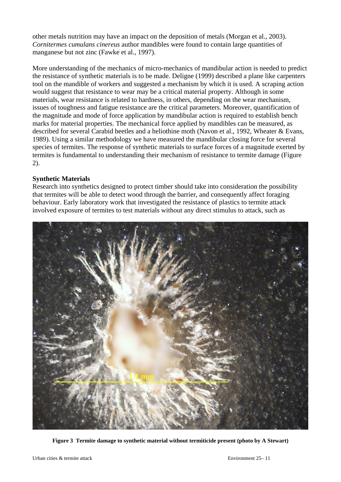other metals nutrition may have an impact on the deposition of metals (Morgan et al., 2003). *Cornitermes cumulans cinereus* author mandibles were found to contain large quantities of manganese but not zinc (Fawke et al., 1997).

More understanding of the mechanics of micro-mechanics of mandibular action is needed to predict the resistance of synthetic materials is to be made. Deligne (1999) described a plane like carpenters tool on the mandible of workers and suggested a mechanism by which it is used. A scraping action would suggest that resistance to wear may be a critical material property. Although in some materials, wear resistance is related to hardness, in others, depending on the wear mechanism, issues of toughness and fatigue resistance are the critical parameters. Moreover, quantification of the magnitude and mode of force application by mandibular action is required to establish bench marks for material properties. The mechanical force applied by mandibles can be measured, as described for several Carabid beetles and a heliothine moth (Navon et al., 1992, Wheater & Evans, 1989). Using a similar methodology we have measured the mandibular closing force for several species of termites. The response of synthetic materials to surface forces of a magnitude exerted by termites is fundamental to understanding their mechanism of resistance to termite damage (Figure 2).

## **Synthetic Materials**

Research into synthetics designed to protect timber should take into consideration the possibility that termites will be able to detect wood through the barrier, and consequently affect foraging behaviour. Early laboratory work that investigated the resistance of plastics to termite attack involved exposure of termites to test materials without any direct stimulus to attack, such as



**Figure 3 Termite damage to synthetic material without termiticide present (photo by A Stewart)**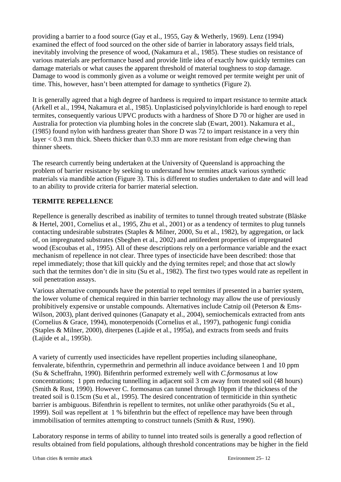providing a barrier to a food source (Gay et al., 1955, Gay & Wetherly, 1969). Lenz (1994) examined the effect of food sourced on the other side of barrier in laboratory assays field trials, inevitably involving the presence of wood, (Nakamura et al., 1985). These studies on resistance of various materials are performance based and provide little idea of exactly how quickly termites can damage materials or what causes the apparent threshold of material toughness to stop damage. Damage to wood is commonly given as a volume or weight removed per termite weight per unit of time. This, however, hasn't been attempted for damage to synthetics (Figure 2).

It is generally agreed that a high degree of hardness is required to impart resistance to termite attack (Arkell et al., 1994, Nakamura et al., 1985). Unplasticised polyvinylchloride is hard enough to repel termites, consequently various UPVC products with a hardness of Shore D 70 or higher are used in Australia for protection via plumbing holes in the concrete slab (Ewart, 2001). Nakamura et al., (1985) found nylon with hardness greater than Shore D was 72 to impart resistance in a very thin layer < 0.3 mm thick. Sheets thicker than 0.33 mm are more resistant from edge chewing than thinner sheets.

The research currently being undertaken at the University of Queensland is approaching the problem of barrier resistance by seeking to understand how termites attack various synthetic materials via mandible action (Figure 3). This is different to studies undertaken to date and will lead to an ability to provide criteria for barrier material selection.

# **TERMITE REPELLENCE**

Repellence is generally described as inability of termites to tunnel through treated substrate (Bläske & Hertel, 2001, Cornelius et al., 1995, Zhu et al., 2001) or as a tendency of termites to plug tunnels contacting undesirable substrates (Staples & Milner, 2000, Su et al., 1982), by aggregation, or lack of, on impregnated substrates (Sbeghen et al., 2002) and antifeedent properties of impregnated wood (Escoubas et al., 1995). All of these descriptions rely on a performance variable and the exact mechanism of repellence in not clear. Three types of insecticide have been described: those that repel immediately; those that kill quickly and the dying termites repel; and those that act slowly such that the termites don't die in situ (Su et al., 1982). The first two types would rate as repellent in soil penetration assays.

Various alternative compounds have the potential to repel termites if presented in a barrier system, the lower volume of chemical required in thin barrier technology may allow the use of previously prohibitively expensive or unstable compounds. Alternatives include Catnip oil (Peterson & Ems-Wilson, 2003), plant derived quinones (Ganapaty et al., 2004), semiochemicals extracted from ants (Cornelius & Grace, 1994), monoterpenoids (Cornelius et al., 1997), pathogenic fungi conidia (Staples & Milner, 2000), diterpenes (Lajide et al., 1995a), and extracts from seeds and fruits (Lajide et al., 1995b).

A variety of currently used insecticides have repellent properties including silaneophane, fenvalerate, bifenthrin, cypermethrin and permethrin all induce avoidance between 1 and 10 ppm (Su & Scheffrahn, 1990). Bifenthrin performed extremely well with *C.formosanus* at low concentrations; 1 ppm reducing tunnelling in adjacent soil 3 cm away from treated soil (48 hours) (Smith & Rust, 1990). However C. formosanus can tunnel through 10ppm if the thickness of the treated soil is 0.15cm (Su et al., 1995). The desired concentration of termiticide in thin synthetic barrier is ambiguous. Bifenthrin is repellent to termites, not unlike other parathyroids (Su et al., 1999). Soil was repellent at 1 % bifenthrin but the effect of repellence may have been through immobilisation of termites attempting to construct tunnels (Smith & Rust, 1990).

Laboratory response in terms of ability to tunnel into treated soils is generally a good reflection of results obtained from field populations, although threshold concentrations may be higher in the field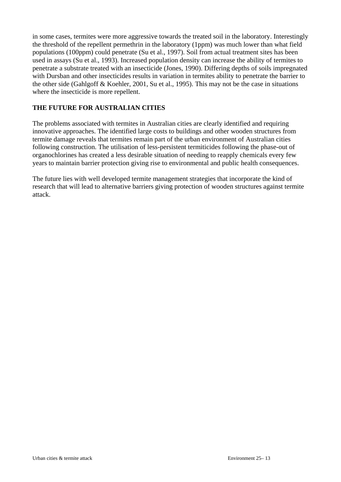in some cases, termites were more aggressive towards the treated soil in the laboratory. Interestingly the threshold of the repellent permethrin in the laboratory (1ppm) was much lower than what field populations (100ppm) could penetrate (Su et al., 1997). Soil from actual treatment sites has been used in assays (Su et al., 1993). Increased population density can increase the ability of termites to penetrate a substrate treated with an insecticide (Jones, 1990). Differing depths of soils impregnated with Dursban and other insecticides results in variation in termites ability to penetrate the barrier to the other side (Gahlgoff & Koehler, 2001, Su et al., 1995). This may not be the case in situations where the insecticide is more repellent.

# **THE FUTURE FOR AUSTRALIAN CITIES**

The problems associated with termites in Australian cities are clearly identified and requiring innovative approaches. The identified large costs to buildings and other wooden structures from termite damage reveals that termites remain part of the urban environment of Australian cities following construction. The utilisation of less-persistent termiticides following the phase-out of organochlorines has created a less desirable situation of needing to reapply chemicals every few years to maintain barrier protection giving rise to environmental and public health consequences.

The future lies with well developed termite management strategies that incorporate the kind of research that will lead to alternative barriers giving protection of wooden structures against termite attack.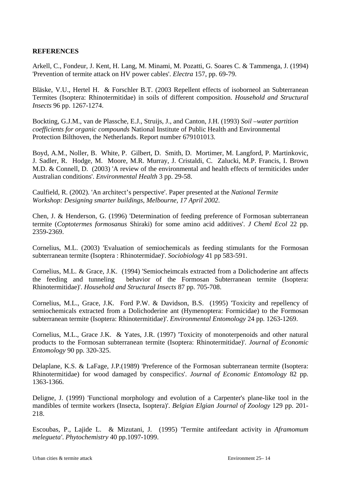# **REFERENCES**

Arkell, C., Fondeur, J. Kent, H. Lang, M. Minami, M. Pozatti, G. Soares C. & Tammenga, J. (1994) 'Prevention of termite attack on HV power cables'. *Electra* 157, pp. 69-79.

Bläske, V.U., Hertel H. & Forschler B.T. (2003 Repellent effects of isoborneol an Subterranean Termites (Isoptera: Rhinotermitidae) in soils of different composition. *Household and Structural Insects* 96 pp. 1267-1274.

Bockting, G.J.M., van de Plassche, E.J., Struijs, J., and Canton, J.H. (1993) *Soil –water partition coefficients for organic compounds* National Institute of Public Health and Environmental Protection Bilthoven, the Netherlands. Report number 679101013.

Boyd, A.M., Noller, B. White, P. Gilbert, D. Smith, D. Mortimer, M. Langford, P. Martinkovic, J. Sadler, R. Hodge, M. Moore, M.R. Murray, J. Cristaldi, C. Zalucki, M.P. Francis, I. Brown M.D. & Connell, D. (2003) 'A review of the environmental and health effects of termiticides under Australian conditions'. *Environmental Health* 3 pp. 29-58.

Caulfield, R. (2002). 'An architect's perspective'. Paper presented at the *National Termite Workshop: Designing smarter buildings, Melbourne, 17 April 2002*.

Chen, J. & Henderson, G. (1996) 'Determination of feeding preference of Formosan subterranean termite (*Coptotermes formosanus* Shiraki) for some amino acid additives'. *J Cheml Ecol* 22 pp. 2359-2369.

Cornelius, M.L. (2003) 'Evaluation of semiochemicals as feeding stimulants for the Formosan subterranean termite (Isoptera : Rhinotermidae)'. *Sociobiology* 41 pp 583-591.

Cornelius, M.L. & Grace, J.K. (1994) 'Semiocheimcals extracted from a Dolichoderine ant affects the feeding and tunneling behavior of the Formosan Subterranean termite (Isoptera: Rhinotermitidae)'. *Household and Structural Insects* 87 pp. 705-708.

Cornelius, M.L., Grace, J.K. Ford P.W. & Davidson, B.S. (1995) 'Toxicity and repellency of semiochemicals extracted from a Dolichoderine ant (Hymenoptera: Formicidae) to the Formosan subterranean termite (Isoptera: Rhinotermitidae)'. *Environmental Entomology* 24 pp. 1263-1269.

Cornelius, M.L., Grace J.K. & Yates, J.R. (1997) 'Toxicity of monoterpenoids and other natural products to the Formosan subterranean termite (Isoptera: Rhinotermitidae)'. *Journal of Economic Entomology* 90 pp. 320-325.

Delaplane, K.S. & LaFage, J.P.(1989) 'Preference of the Formosan subterranean termite (Isoptera: Rhinotermitidae) for wood damaged by conspecifics'. *Journal of Economic Entomology* 82 pp. 1363-1366.

Deligne, J. (1999) 'Functional morphology and evolution of a Carpenter's plane-like tool in the mandibles of termite workers (Insecta, Isoptera)'. *Belgian Elgian Journal of Zoology* 129 pp. 201- 218.

Escoubas, P., Lajide L. & Mizutani, J. (1995) 'Termite antifeedant activity in *Aframomum melegueta'*. *Phytochemistry* 40 pp.1097-1099.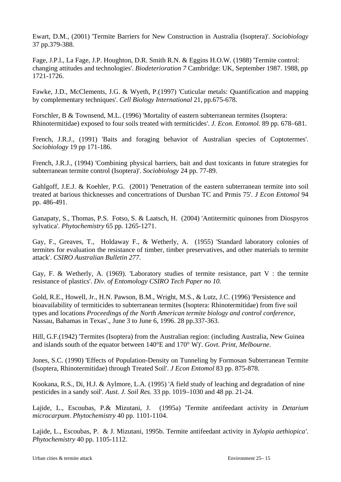Ewart, D.M., (2001) 'Termite Barriers for New Construction in Australia (Isoptera)'. *Sociobiology* 37 pp.379-388.

Fage, J.P.l., La Fage, J.P. Houghton, D.R. Smith R.N. & Eggins H.O.W. (1988) 'Termite control: changing attitudes and technologies'. *Biodeterioration 7* Cambridge: UK, September 1987. 1988, pp 1721-1726.

Fawke, J.D., McClements, J.G. & Wyeth, P.(1997) 'Cuticular metals: Quantification and mapping by complementary techniques'. *Cell Biology International* 21, pp.675-678.

Forschler, B & Townsend, M.L. (1996) 'Mortality of eastern subterranean termites (Isoptera: Rhinotermitidae) exposed to four soils treated with termiticides'. *J. Econ. Entomol.* 89 pp. 678–681.

French, J.R.J., (1991) 'Baits and foraging behavior of Australian species of Coptotermes'. *Sociobiology* 19 pp 171-186.

French, J.R.J., (1994) 'Combining physical barriers, bait and dust toxicants in future strategies for subterranean termite control (Isoptera)'. *Sociobiology* 24 pp. 77-89.

Gahlgoff, J.E.J. & Koehler, P.G. (2001) 'Penetration of the eastern subterranean termite into soil treated at barious thicknesses and concertrations of Dursban TC and Prmis 75'. *J Econ Entomol* 94 pp. 486-491.

Ganapaty, S., Thomas, P.S. Fotso, S. & Laatsch, H. (2004) 'Antitermitic quinones from Diospyros sylvatica'. *Phytochemistry* 65 pp. 1265-1271.

Gay, F., Greaves, T., Holdaway F., & Wetherly, A. (1955) 'Standard laboratory colonies of termites for evaluation the resistance of timber, timber preservatives, and other materials to termite attack'. *CSIRO Australian Bulletin 277*.

Gay, F. & Wetherly, A. (1969). 'Laboratory studies of termite resistance, part V : the termite resistance of plastics'. *Div. of Entomology CSIRO Tech Paper no 10.* 

Gold, R.E., Howell, Jr., H.N. Pawson, B.M., Wright, M.S., & Lutz, J.C. (1996) 'Persistence and bioavailability of termiticides to subterranean termites (Isoptera: Rhinotermitidae) from five soil types and locations *Proceedings of the North American termite biology and control conference,* Nassau, Bahamas in Texas'., June 3 to June 6, 1996. 28 pp.337-363.

Hill, G.F.(1942) 'Termites (Isoptera) from the Australian region: (including Australia, New Guinea and islands south of the equator between 140°E and 170° W)'. *Govt. Print, Melbourne*.

Jones, S.C. (1990) 'Effects of Population-Density on Tunneling by Formosan Subterranean Termite (Isoptera, Rhinotermitidae) through Treated Soil'. *J Econ Entomol* 83 pp. 875-878.

Kookana, R.S., Di, H.J. & Aylmore, L.A. (1995) 'A field study of leaching and degradation of nine pesticides in a sandy soil'. *Aust. J. Soil Res.* 33 pp. 1019–1030 and 48 pp. 21-24.

Lajide, L., Escoubas, P.& Mizutani, J. (1995a) 'Termite antifeedant activity in *Detarium microcarpum*. *Phytochemistry* 40 pp. 1101-1104.

Lajide, L., Escoubas, P. & J. Mizutani, 1995b. Termite antifeedant activity in *Xylopia aethiopica'*. *Phytochemistry* 40 pp. 1105-1112.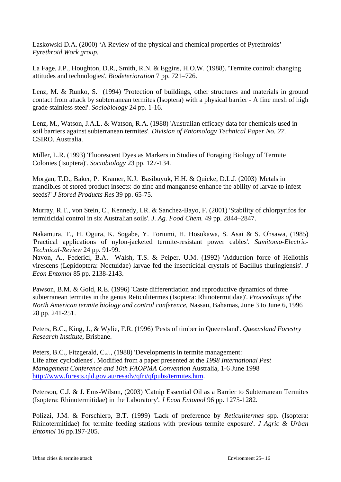Laskowski D.A. (2000) 'A Review of the physical and chemical properties of Pyrethroids' *Pyrethroid Work group.* 

La Fage, J.P., Houghton, D.R., Smith, R.N. & Eggins, H.O.W. (1988). 'Termite control: changing attitudes and technologies'. *Biodeterioration* 7 pp. 721–726.

Lenz, M. & Runko, S. (1994) 'Protection of buildings, other structures and materials in ground contact from attack by subterranean termites (Isoptera) with a physical barrier - A fine mesh of high grade stainless steel'. *Sociobiology* 24 pp. 1-16.

Lenz, M., Watson, J.A.L. & Watson, R.A. (1988) 'Australian efficacy data for chemicals used in soil barriers against subterranean termites'. *Division of Entomology Technical Paper No. 27*. CSIRO. Australia.

Miller, L.R. (1993) 'Fluorescent Dyes as Markers in Studies of Foraging Biology of Termite Colonies (Isoptera)'. *Sociobiology* 23 pp. 127-134.

Morgan, T.D., Baker, P. Kramer, K.J. Basibuyuk, H.H. & Quicke, D.L.J. (2003) 'Metals in mandibles of stored product insects: do zinc and manganese enhance the ability of larvae to infest seeds?' *J Stored Products Res* 39 pp. 65-75.

Murray, R.T., von Stein, C., Kennedy, I.R. & Sanchez-Bayo, F. (2001) 'Stability of chlorpyrifos for termiticidal control in six Australian soils'. *J. Ag. Food Chem.* 49 pp. 2844–2847.

Nakamura, T., H. Ogura, K. Sogabe, Y. Toriumi, H. Hosokawa, S. Asai & S. Ohsawa, (1985) 'Practical applications of nylon-jacketed termite-resistant power cables'. *Sumitomo-Electric-Technical-Review* 24 pp. 91-99.

Navon, A., Federici, B.A. Walsh, T.S. & Peiper, U.M. (1992) 'Adduction force of Heliothis virescens (Lepidoptera: Noctuidae) larvae fed the insecticidal crystals of Bacillus thuringiensis'. *J Econ Entomol* 85 pp. 2138-2143.

Pawson, B.M. & Gold, R.E. (1996) 'Caste differentiation and reproductive dynamics of three subterranean termites in the genus Reticulitermes (Isoptera: Rhinotermitidae)'. *Proceedings of the North American termite biology and control conference*, Nassau, Bahamas, June 3 to June 6, 1996 28 pp. 241-251.

Peters, B.C., King, J., & Wylie, F.R. (1996) 'Pests of timber in Queensland'. *Queensland Forestry Research Institute*, Brisbane.

Peters, B.C., Fitzgerald, C.J., (1988) 'Developments in termite management: Life after cyclodienes'. Modified from a paper presented at the *1998 International Pest Management Conference and 10th FAOPMA Convention* Australia, 1-6 June 1998 http://www.forests.qld.gov.au/resadv/qfri/qfpubs/termites.htm.

Peterson, C.J. & J. Ems-Wilson, (2003) 'Catnip Essential Oil as a Barrier to Subterranean Termites (Isoptera: Rhinotermitidae) in the Laboratory'. *J Econ Entomol* 96 pp. 1275-1282.

Polizzi, J.M. & Forschlerp, B.T. (1999) 'Lack of preference by *Reticulitermes* spp. (Isoptera: Rhinotermitidae) for termite feeding stations with previous termite exposure'. *J Agric & Urban Entomol* 16 pp.197-205.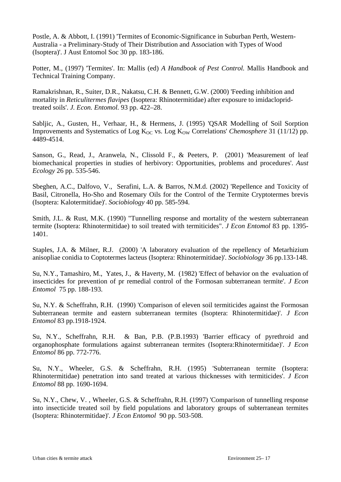Postle, A. & Abbott, I. (1991) 'Termites of Economic-Significance in Suburban Perth, Western-Australia - a Preliminary-Study of Their Distribution and Association with Types of Wood (Isoptera)'. J Aust Entomol Soc 30 pp. 183-186.

Potter, M., (1997) 'Termites'. In: Mallis (ed) *A Handbook of Pest Control.* Mallis Handbook and Technical Training Company.

Ramakrishnan, R., Suiter, D.R., Nakatsu, C.H. & Bennett, G.W. (2000) 'Feeding inhibition and mortality in *Reticulitermes flavipes* (Isoptera: Rhinotermitidae) after exposure to imidaclopridtreated soils'. *J. Econ. Entomol.* 93 pp. 422–28.

Sabljic, A., Gusten, H., Verhaar, H., & Hermens, J. (1995) 'QSAR Modelling of Soil Sorption Improvements and Systematics of Log K<sub>OC</sub> vs. Log K<sub>OW</sub> Correlations' *Chemosphere* 31 (11/12) pp. 4489-4514.

Sanson, G., Read, J., Aranwela, N., Clissold F., & Peeters, P. (2001) 'Measurement of leaf biomechanical properties in studies of herbivory: Opportunities, problems and procedures'. *Aust Ecology* 26 pp. 535-546.

Sbeghen, A.C., Dalfovo, V., Serafini, L.A. & Barros, N.M.d. (2002) 'Repellence and Toxicity of Basil, Citronella, Ho-Sho and Rosemary Oils for the Control of the Termite Cryptotermes brevis (Isoptera: Kalotermitidae)'. *Sociobiology* 40 pp. 585-594.

Smith, J.L. & Rust, M.K. (1990) "Tunnelling response and mortality of the western subterranean termite (Isoptera: Rhinotermitidae) to soil treated with termiticides". *J Econ Entomol* 83 pp. 1395- 1401.

Staples, J.A. & Milner, R.J. (2000) 'A laboratory evaluation of the repellency of Metarhizium anisopliae conidia to Coptotermes lacteus (Isoptera: Rhinotermitidae)'. *Sociobiology* 36 pp.133-148.

Su, N.Y., Tamashiro, M., Yates, J., & Haverty, M. (1982) 'Effect of behavior on the evaluation of insecticides for prevention of pr remedial control of the Formosan subterranean termite'. *J Econ Entomol* 75 pp. 188-193.

Su, N.Y. & Scheffrahn, R.H. (1990) 'Comparison of eleven soil termiticides against the Formosan Subterranean termite and eastern subterranean termites (Isoptera: Rhinotermitidae)'. *J Econ Entomol* 83 pp.1918-1924.

Su, N.Y., Scheffrahn, R.H. & Ban, P.B. (P.B.1993) 'Barrier efficacy of pyrethroid and organophosphate formulations against subterranean termites (Isoptera:Rhinotermitidae)'. *J Econ Entomol* 86 pp. 772-776.

Su, N.Y., Wheeler, G.S. & Scheffrahn, R.H. (1995) 'Subterranean termite (Isoptera: Rhinotermitidae) penetration into sand treated at various thicknesses with termiticides'. *J Econ Entomol* 88 pp. 1690-1694.

Su, N.Y., Chew, V. , Wheeler, G.S. & Scheffrahn, R.H. (1997) 'Comparison of tunnelling response into insecticide treated soil by field populations and laboratory groups of subterranean termites (Isoptera: Rhinotermitidae)'. *J Econ Entomol* 90 pp. 503-508.